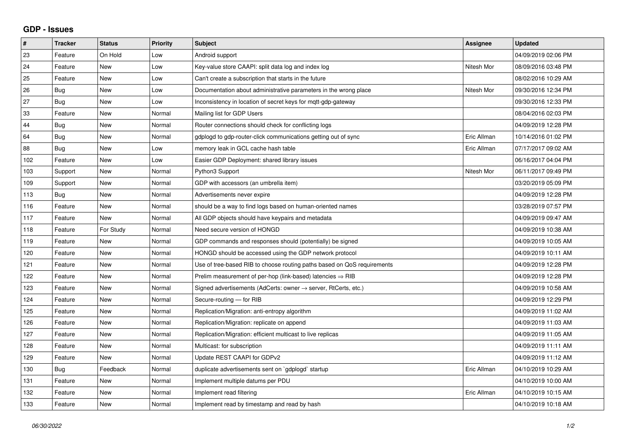## **GDP - Issues**

| $\sharp$ | Tracker    | <b>Status</b> | <b>Priority</b> | <b>Subject</b>                                                          | Assignee    | <b>Updated</b>      |
|----------|------------|---------------|-----------------|-------------------------------------------------------------------------|-------------|---------------------|
| 23       | Feature    | On Hold       | Low             | Android support                                                         |             | 04/09/2019 02:06 PM |
| 24       | Feature    | <b>New</b>    | Low             | Key-value store CAAPI: split data log and index log                     | Nitesh Mor  | 08/09/2016 03:48 PM |
| 25       | Feature    | <b>New</b>    | Low             | Can't create a subscription that starts in the future                   |             | 08/02/2016 10:29 AM |
| 26       | Bug        | <b>New</b>    | Low             | Documentation about administrative parameters in the wrong place        | Nitesh Mor  | 09/30/2016 12:34 PM |
| 27       | <b>Bug</b> | <b>New</b>    | Low             | Inconsistency in location of secret keys for mgtt-gdp-gateway           |             | 09/30/2016 12:33 PM |
| 33       | Feature    | <b>New</b>    | Normal          | Mailing list for GDP Users                                              |             | 08/04/2016 02:03 PM |
| 44       | <b>Bug</b> | <b>New</b>    | Normal          | Router connections should check for conflicting logs                    |             | 04/09/2019 12:28 PM |
| 64       | Bug        | <b>New</b>    | Normal          | gdplogd to gdp-router-click communications getting out of sync          | Eric Allman | 10/14/2016 01:02 PM |
| 88       | <b>Bug</b> | <b>New</b>    | Low             | memory leak in GCL cache hash table                                     | Eric Allman | 07/17/2017 09:02 AM |
| 102      | Feature    | <b>New</b>    | Low             | Easier GDP Deployment: shared library issues                            |             | 06/16/2017 04:04 PM |
| 103      | Support    | <b>New</b>    | Normal          | Python3 Support                                                         | Nitesh Mor  | 06/11/2017 09:49 PM |
| 109      | Support    | <b>New</b>    | Normal          | GDP with accessors (an umbrella item)                                   |             | 03/20/2019 05:09 PM |
| 113      | Bug        | <b>New</b>    | Normal          | Advertisements never expire                                             |             | 04/09/2019 12:28 PM |
| 116      | Feature    | <b>New</b>    | Normal          | should be a way to find logs based on human-oriented names              |             | 03/28/2019 07:57 PM |
| 117      | Feature    | <b>New</b>    | Normal          | All GDP objects should have keypairs and metadata                       |             | 04/09/2019 09:47 AM |
| 118      | Feature    | For Study     | Normal          | Need secure version of HONGD                                            |             | 04/09/2019 10:38 AM |
| 119      | Feature    | <b>New</b>    | Normal          | GDP commands and responses should (potentially) be signed               |             | 04/09/2019 10:05 AM |
| 120      | Feature    | <b>New</b>    | Normal          | HONGD should be accessed using the GDP network protocol                 |             | 04/09/2019 10:11 AM |
| 121      | Feature    | <b>New</b>    | Normal          | Use of tree-based RIB to choose routing paths based on QoS requirements |             | 04/09/2019 12:28 PM |
| 122      | Feature    | <b>New</b>    | Normal          | Prelim measurement of per-hop (link-based) latencies $\Rightarrow$ RIB  |             | 04/09/2019 12:28 PM |
| 123      | Feature    | <b>New</b>    | Normal          | Signed advertisements (AdCerts: owner → server, RtCerts, etc.)          |             | 04/09/2019 10:58 AM |
| 124      | Feature    | <b>New</b>    | Normal          | Secure-routing - for RIB                                                |             | 04/09/2019 12:29 PM |
| 125      | Feature    | <b>New</b>    | Normal          | Replication/Migration: anti-entropy algorithm                           |             | 04/09/2019 11:02 AM |
| 126      | Feature    | <b>New</b>    | Normal          | Replication/Migration: replicate on append                              |             | 04/09/2019 11:03 AM |
| 127      | Feature    | New           | Normal          | Replication/Migration: efficient multicast to live replicas             |             | 04/09/2019 11:05 AM |
| 128      | Feature    | <b>New</b>    | Normal          | Multicast: for subscription                                             |             | 04/09/2019 11:11 AM |
| 129      | Feature    | <b>New</b>    | Normal          | Update REST CAAPI for GDPv2                                             |             | 04/09/2019 11:12 AM |
| 130      | Bug        | Feedback      | Normal          | duplicate advertisements sent on `gdplogd` startup                      | Eric Allman | 04/10/2019 10:29 AM |
| 131      | Feature    | <b>New</b>    | Normal          | Implement multiple datums per PDU                                       |             | 04/10/2019 10:00 AM |
| 132      | Feature    | <b>New</b>    | Normal          | Implement read filtering                                                | Eric Allman | 04/10/2019 10:15 AM |
| 133      | Feature    | New           | Normal          | Implement read by timestamp and read by hash                            |             | 04/10/2019 10:18 AM |